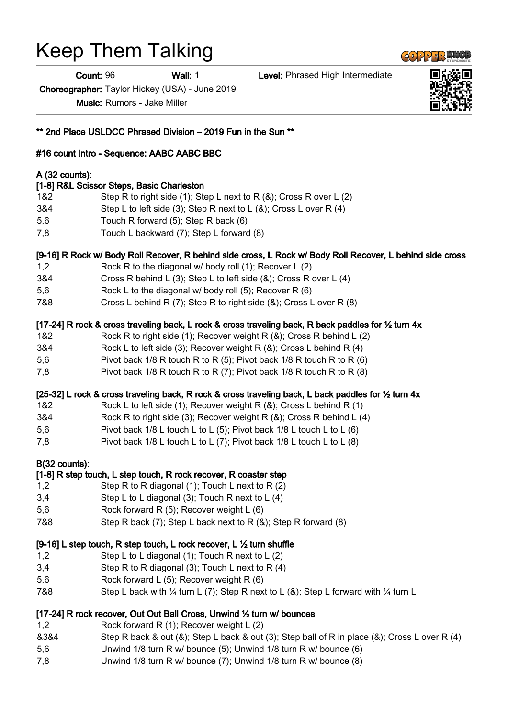# Keep Them Talking

Count: 96 Wall: 1 Level: Phrased High Intermediate

Choreographer: Taylor Hickey (USA) - June 2019

Music: Rumors - Jake Miller

#16 count Intro - Sequence: AABC AABC BBC

[1-8] R&L Scissor Steps, Basic Charleston

5,6 Touch R forward (5); Step R back (6) 7,8 Touch L backward (7); Step L forward (8) [9-16] R Rock w/ Body Roll Recover, R behind side cross, L Rock w/ Body Roll Recover, L behind side cross 1,2 Rock R to the diagonal w/ body roll (1); Recover L (2) 3&4 Cross R behind L (3); Step L to left side (&); Cross R over L (4) 5,6 Rock L to the diagonal w/ body roll (5); Recover R (6) 7&8 Cross L behind R (7); Step R to right side (&); Cross L over R (8) [17-24] R rock & cross traveling back, L rock & cross traveling back, R back paddles for ½ turn 4x

1&2 Step R to right side (1); Step L next to R (&); Cross R over L (2) 3&4 Step L to left side (3); Step R next to L (&); Cross L over R (4)

- 1&2 Rock R to right side (1); Recover weight R (&); Cross R behind L (2)
- 3&4 Rock L to left side (3); Recover weight R (&); Cross L behind R (4)
- 5,6 Pivot back 1/8 R touch R to R (5); Pivot back 1/8 R touch R to R (6)
- 7,8 Pivot back 1/8 R touch R to R (7); Pivot back 1/8 R touch R to R (8)

#### [25-32] L rock & cross traveling back, R rock & cross traveling back, L back paddles for ½ turn 4x

- 1&2 Rock L to left side (1); Recover weight R (&); Cross L behind R (1)
- 3&4 Rock R to right side (3); Recover weight R (&); Cross R behind L (4)
- 5,6 Pivot back 1/8 L touch L to L (5); Pivot back 1/8 L touch L to L (6)
- 7,8 Pivot back  $1/8$  L touch L to L (7); Pivot back  $1/8$  L touch L to L (8)

#### B(32 counts):

A (32 counts):

# [1-8] R step touch, L step touch, R rock recover, R coaster step

- 1,2 Step R to R diagonal (1); Touch L next to R (2)
- 3,4 Step L to L diagonal (3); Touch R next to L (4)
- 5,6 Rock forward R (5); Recover weight L (6)
- 7&8 Step R back (7); Step L back next to R (&); Step R forward (8)

#### [9-16] L step touch, R step touch, L rock recover, L ½ turn shuffle

- 1,2 Step L to L diagonal (1); Touch R next to L (2)
- 3,4 Step R to R diagonal (3); Touch L next to R (4)
- 5,6 Rock forward L (5); Recover weight R (6)
- 7&8 Step L back with 1/4 turn L (7); Step R next to L (&); Step L forward with 1/4 turn L

# [17-24] R rock recover, Out Out Ball Cross, Unwind 1/2 turn w/ bounces

- 1,2 Rock forward R (1); Recover weight L (2)
- &3&4 Step R back & out (&); Step L back & out (3); Step ball of R in place (&); Cross L over R (4)
- 5,6 Unwind 1/8 turn R w/ bounce (5); Unwind 1/8 turn R w/ bounce (6)
- 7,8 Unwind 1/8 turn R w/ bounce (7); Unwind 1/8 turn R w/ bounce (8)





\*\* 2nd Place USLDCC Phrased Division – 2019 Fun in the Sun \*\*